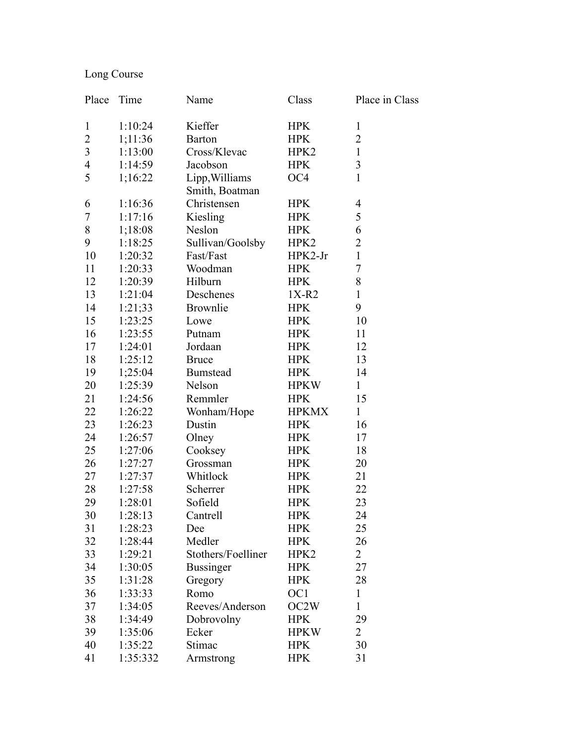## Long Course

| Place          | Time     | Name                             | Class           | Place in Class |
|----------------|----------|----------------------------------|-----------------|----------------|
| 1              | 1:10:24  | Kieffer                          | <b>HPK</b>      | $\mathbf{1}$   |
| $\overline{c}$ | 1;11:36  | <b>Barton</b>                    | <b>HPK</b>      | $\overline{2}$ |
| $\overline{3}$ | 1:13:00  | Cross/Klevac                     | HPK2            | $\mathbf{1}$   |
| $\overline{4}$ | 1:14:59  | Jacobson                         | <b>HPK</b>      | $\overline{3}$ |
| 5              | 1;16:22  | Lipp, Williams<br>Smith, Boatman | OC <sub>4</sub> | $\mathbf{1}$   |
| 6              | 1:16:36  | Christensen                      | <b>HPK</b>      | 4              |
| $\overline{7}$ | 1:17:16  | Kiesling                         | <b>HPK</b>      | 5              |
| 8              | 1;18:08  | Neslon                           | <b>HPK</b>      | 6              |
| 9              | 1:18:25  | Sullivan/Goolsby                 | HPK2            | $\overline{2}$ |
| 10             | 1:20:32  | Fast/Fast                        | HPK2-Jr         | $\mathbf{1}$   |
| 11             | 1:20:33  | Woodman                          | <b>HPK</b>      | $\overline{7}$ |
| 12             | 1:20:39  | Hilburn                          | <b>HPK</b>      | 8              |
| 13             | 1:21:04  | Deschenes                        | $1X-R2$         | $\mathbf{1}$   |
| 14             | 1:21;33  | Brownlie                         | <b>HPK</b>      | 9              |
| 15             | 1:23:25  | Lowe                             | <b>HPK</b>      | 10             |
| 16             | 1:23:55  | Putnam                           | <b>HPK</b>      | 11             |
| 17             | 1:24:01  | Jordaan                          | <b>HPK</b>      | 12             |
| 18             | 1:25:12  | <b>Bruce</b>                     | <b>HPK</b>      | 13             |
| 19             | 1;25:04  | <b>Bumstead</b>                  | <b>HPK</b>      | 14             |
| 20             | 1:25:39  | Nelson                           | <b>HPKW</b>     | $\mathbf{1}$   |
| 21             | 1:24:56  | Remmler                          | <b>HPK</b>      | 15             |
| 22             | 1:26:22  | Wonham/Hope                      | <b>HPKMX</b>    | $\mathbf{1}$   |
| 23             | 1:26:23  | Dustin                           | <b>HPK</b>      | 16             |
| 24             | 1:26:57  | Olney                            | <b>HPK</b>      | 17             |
| 25             | 1:27:06  | Cooksey                          | <b>HPK</b>      | 18             |
| 26             | 1:27:27  | Grossman                         | <b>HPK</b>      | 20             |
| 27             | 1:27:37  | Whitlock                         | <b>HPK</b>      | 21             |
| 28             | 1:27:58  | Scherrer                         | <b>HPK</b>      | 22             |
| 29             | 1:28:01  | Sofield                          | <b>HPK</b>      | 23             |
| 30             | 1:28:13  | Cantrell                         | <b>HPK</b>      | 24             |
| 31             | 1:28:23  | Dee                              | <b>HPK</b>      | 25             |
| 32             | 1:28:44  | Medler                           | <b>HPK</b>      | 26             |
| 33             | 1:29:21  | Stothers/Foelliner               | HPK2            | $\overline{2}$ |
| 34             | 1:30:05  | <b>Bussinger</b>                 | <b>HPK</b>      | 27             |
| 35             | 1:31:28  | Gregory                          | <b>HPK</b>      | 28             |
| 36             | 1:33:33  | Romo                             | OC1             | $\mathbf{1}$   |
| 37             | 1:34:05  | Reeves/Anderson                  | OC2W            | $\mathbf{1}$   |
| 38             | 1:34:49  | Dobrovolny                       | <b>HPK</b>      | 29             |
| 39             | 1:35:06  | Ecker                            | <b>HPKW</b>     | $\overline{2}$ |
| 40             | 1:35:22  | Stimac                           | <b>HPK</b>      | 30             |
| 41             | 1:35:332 | Armstrong                        | <b>HPK</b>      | 31             |
|                |          |                                  |                 |                |